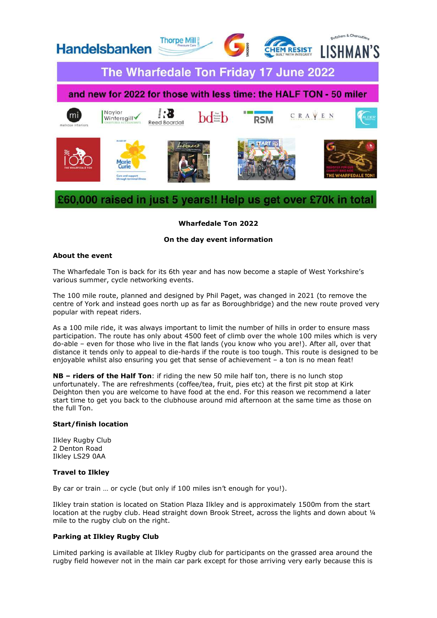

# Wharfedale Ton 2022

## On the day event information

# About the event

The Wharfedale Ton is back for its 6th year and has now become a staple of West Yorkshire's various summer, cycle networking events.

The 100 mile route, planned and designed by Phil Paget, was changed in 2021 (to remove the centre of York and instead goes north up as far as Boroughbridge) and the new route proved very popular with repeat riders.

As a 100 mile ride, it was always important to limit the number of hills in order to ensure mass participation. The route has only about 4500 feet of climb over the whole 100 miles which is very do-able – even for those who live in the flat lands (you know who you are!). After all, over that distance it tends only to appeal to die-hards if the route is too tough. This route is designed to be enjoyable whilst also ensuring you get that sense of achievement – a ton is no mean feat!

NB – riders of the Half Ton: if riding the new 50 mile half ton, there is no lunch stop unfortunately. The are refreshments (coffee/tea, fruit, pies etc) at the first pit stop at Kirk Deighton then you are welcome to have food at the end. For this reason we recommend a later start time to get you back to the clubhouse around mid afternoon at the same time as those on the full Ton.

#### Start/finish location

Ilkley Rugby Club 2 Denton Road Ilkley LS29 0AA

#### Travel to Ilkley

By car or train … or cycle (but only if 100 miles isn't enough for you!).

Ilkley train station is located on Station Plaza Ilkley and is approximately 1500m from the start location at the rugby club. Head straight down Brook Street, across the lights and down about 1/4 mile to the rugby club on the right.

#### Parking at Ilkley Rugby Club

Limited parking is available at Ilkley Rugby club for participants on the grassed area around the rugby field however not in the main car park except for those arriving very early because this is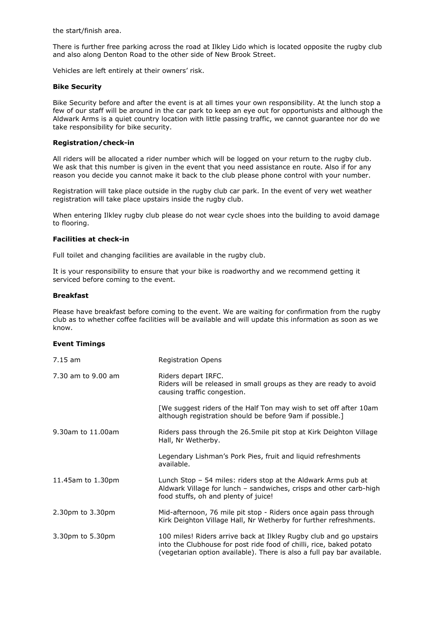the start/finish area.

There is further free parking across the road at Ilkley Lido which is located opposite the rugby club and also along Denton Road to the other side of New Brook Street.

Vehicles are left entirely at their owners' risk.

### Bike Security

Bike Security before and after the event is at all times your own responsibility. At the lunch stop a few of our staff will be around in the car park to keep an eye out for opportunists and although the Aldwark Arms is a quiet country location with little passing traffic, we cannot guarantee nor do we take responsibility for bike security.

# Registration/check-in

All riders will be allocated a rider number which will be logged on your return to the rugby club. We ask that this number is given in the event that you need assistance en route. Also if for any reason you decide you cannot make it back to the club please phone control with your number.

Registration will take place outside in the rugby club car park. In the event of very wet weather registration will take place upstairs inside the rugby club.

When entering Ilkley rugby club please do not wear cycle shoes into the building to avoid damage to flooring.

### Facilities at check-in

Full toilet and changing facilities are available in the rugby club.

It is your responsibility to ensure that your bike is roadworthy and we recommend getting it serviced before coming to the event.

### Breakfast

Please have breakfast before coming to the event. We are waiting for confirmation from the rugby club as to whether coffee facilities will be available and will update this information as soon as we know.

#### Event Timings

| $7.15$ am          | <b>Registration Opens</b>                                                                                                                                                                                           |
|--------------------|---------------------------------------------------------------------------------------------------------------------------------------------------------------------------------------------------------------------|
| 7.30 am to 9.00 am | Riders depart IRFC.<br>Riders will be released in small groups as they are ready to avoid<br>causing traffic congestion.                                                                                            |
|                    | [We suggest riders of the Half Ton may wish to set off after 10am<br>although registration should be before 9am if possible.]                                                                                       |
| 9.30am to 11.00am  | Riders pass through the 26.5mile pit stop at Kirk Deighton Village<br>Hall, Nr Wetherby.                                                                                                                            |
|                    | Legendary Lishman's Pork Pies, fruit and liquid refreshments<br>available.                                                                                                                                          |
| 11.45am to 1.30pm  | Lunch Stop - 54 miles: riders stop at the Aldwark Arms pub at<br>Aldwark Village for lunch - sandwiches, crisps and other carb-high<br>food stuffs, oh and plenty of juice!                                         |
| 2.30pm to 3.30pm   | Mid-afternoon, 76 mile pit stop - Riders once again pass through<br>Kirk Deighton Village Hall, Nr Wetherby for further refreshments.                                                                               |
| 3.30pm to 5.30pm   | 100 miles! Riders arrive back at Ilkley Rugby club and go upstairs<br>into the Clubhouse for post ride food of chilli, rice, baked potato<br>(vegetarian option available). There is also a full pay bar available. |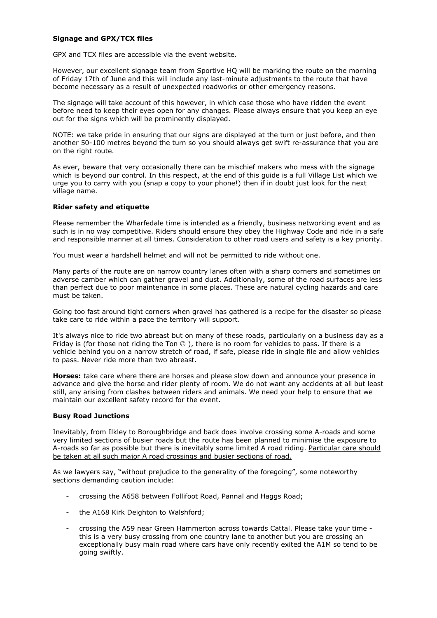# Signage and GPX/TCX files

GPX and TCX files are accessible via the event website.

However, our excellent signage team from Sportive HQ will be marking the route on the morning of Friday 17th of June and this will include any last-minute adjustments to the route that have become necessary as a result of unexpected roadworks or other emergency reasons.

The signage will take account of this however, in which case those who have ridden the event before need to keep their eyes open for any changes. Please always ensure that you keep an eye out for the signs which will be prominently displayed.

NOTE: we take pride in ensuring that our signs are displayed at the turn or just before, and then another 50-100 metres beyond the turn so you should always get swift re-assurance that you are on the right route.

As ever, beware that very occasionally there can be mischief makers who mess with the signage which is beyond our control. In this respect, at the end of this guide is a full Village List which we urge you to carry with you (snap a copy to your phone!) then if in doubt just look for the next village name.

# Rider safety and etiquette

Please remember the Wharfedale time is intended as a friendly, business networking event and as such is in no way competitive. Riders should ensure they obey the Highway Code and ride in a safe and responsible manner at all times. Consideration to other road users and safety is a key priority.

You must wear a hardshell helmet and will not be permitted to ride without one.

Many parts of the route are on narrow country lanes often with a sharp corners and sometimes on adverse camber which can gather gravel and dust. Additionally, some of the road surfaces are less than perfect due to poor maintenance in some places. These are natural cycling hazards and care must he taken.

Going too fast around tight corners when gravel has gathered is a recipe for the disaster so please take care to ride within a pace the territory will support.

It's always nice to ride two abreast but on many of these roads, particularly on a business day as a Friday is (for those not riding the Ton  $\circledcirc$ ), there is no room for vehicles to pass. If there is a vehicle behind you on a narrow stretch of road, if safe, please ride in single file and allow vehicles to pass. Never ride more than two abreast.

Horses: take care where there are horses and please slow down and announce your presence in advance and give the horse and rider plenty of room. We do not want any accidents at all but least still, any arising from clashes between riders and animals. We need your help to ensure that we maintain our excellent safety record for the event.

# Busy Road Junctions

Inevitably, from Ilkley to Boroughbridge and back does involve crossing some A-roads and some very limited sections of busier roads but the route has been planned to minimise the exposure to A-roads so far as possible but there is inevitably some limited A road riding. Particular care should be taken at all such major A road crossings and busier sections of road.

As we lawyers say, "without prejudice to the generality of the foregoing", some noteworthy sections demanding caution include:

- crossing the A658 between Follifoot Road, Pannal and Haggs Road;
- the A168 Kirk Deighton to Walshford;
- crossing the A59 near Green Hammerton across towards Cattal. Please take your time this is a very busy crossing from one country lane to another but you are crossing an exceptionally busy main road where cars have only recently exited the A1M so tend to be going swiftly.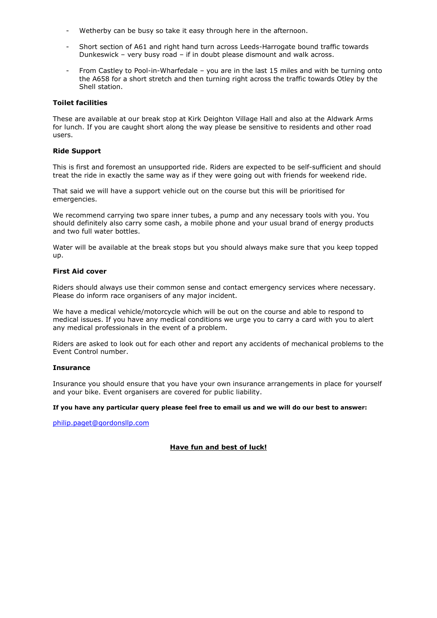- Wetherby can be busy so take it easy through here in the afternoon.
- Short section of A61 and right hand turn across Leeds-Harrogate bound traffic towards Dunkeswick – very busy road – if in doubt please dismount and walk across.
- From Castley to Pool-in-Wharfedale you are in the last 15 miles and with be turning onto the A658 for a short stretch and then turning right across the traffic towards Otley by the Shell station.

## Toilet facilities

These are available at our break stop at Kirk Deighton Village Hall and also at the Aldwark Arms for lunch. If you are caught short along the way please be sensitive to residents and other road users.

## Ride Support

This is first and foremost an unsupported ride. Riders are expected to be self-sufficient and should treat the ride in exactly the same way as if they were going out with friends for weekend ride.

That said we will have a support vehicle out on the course but this will be prioritised for emergencies.

We recommend carrying two spare inner tubes, a pump and any necessary tools with you. You should definitely also carry some cash, a mobile phone and your usual brand of energy products and two full water bottles.

Water will be available at the break stops but you should always make sure that you keep topped up.

### First Aid cover

Riders should always use their common sense and contact emergency services where necessary. Please do inform race organisers of any major incident.

We have a medical vehicle/motorcycle which will be out on the course and able to respond to medical issues. If you have any medical conditions we urge you to carry a card with you to alert any medical professionals in the event of a problem.

Riders are asked to look out for each other and report any accidents of mechanical problems to the Event Control number.

# Insurance

Insurance you should ensure that you have your own insurance arrangements in place for yourself and your bike. Event organisers are covered for public liability.

#### If you have any particular query please feel free to email us and we will do our best to answer:

philip.paget@gordonsllp.com

# Have fun and best of luck!